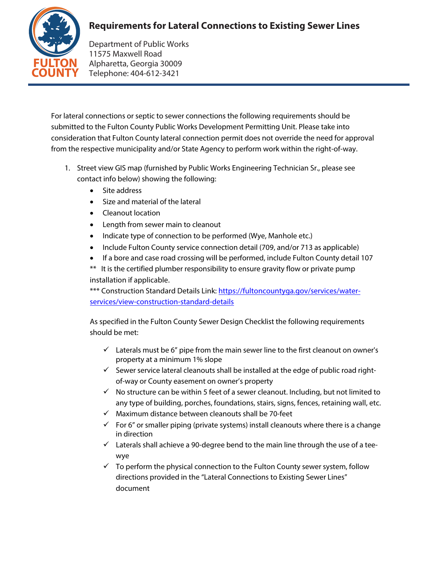## **Requirements for Lateral Connections to Existing Sewer Lines**



Department of Public Works 11575 Maxwell Road Alpharetta, Georgia 30009 Telephone: 404-612-3421

For lateral connections or septic to sewer connections the following requirements should be submitted to the Fulton County Public Works Development Permitting Unit. Please take into consideration that Fulton County lateral connection permit does not override the need for approval from the respective municipality and/or State Agency to perform work within the right-of-way.

- 1. Street view GIS map (furnished by Public Works Engineering Technician Sr., please see contact info below) showing the following:
	- Site address
	- Size and material of the lateral
	- Cleanout location
	- Length from sewer main to cleanout
	- Indicate type of connection to be performed (Wye, Manhole etc.)
	- Include Fulton County service connection detail (709, and/or 713 as applicable)
	- If a bore and case road crossing will be performed, include Fulton County detail 107

\*\* It is the certified plumber responsibility to ensure gravity flow or private pump installation if applicable.

\*\*\* Construction Standard Details Link: [https://fultoncountyga.gov/services/water](https://fultoncountyga.gov/services/water-services/view-construction-standard-details)[services/view-construction-standard-details](https://fultoncountyga.gov/services/water-services/view-construction-standard-details)

As specified in the Fulton County Sewer Design Checklist the following requirements should be met:

- $\checkmark$  Laterals must be 6" pipe from the main sewer line to the first cleanout on owner's property at a minimum 1% slope
- $\checkmark$  Sewer service lateral cleanouts shall be installed at the edge of public road rightof-way or County easement on owner's property
- $\checkmark$  No structure can be within 5 feet of a sewer cleanout. Including, but not limited to any type of building, porches, foundations, stairs, signs, fences, retaining wall, etc.
- $\checkmark$  Maximum distance between cleanouts shall be 70-feet
- $\checkmark$  For 6" or smaller piping (private systems) install cleanouts where there is a change in direction
- $\checkmark$  Laterals shall achieve a 90-degree bend to the main line through the use of a teewye
- $\checkmark$  To perform the physical connection to the Fulton County sewer system, follow directions provided in the "Lateral Connections to Existing Sewer Lines" document